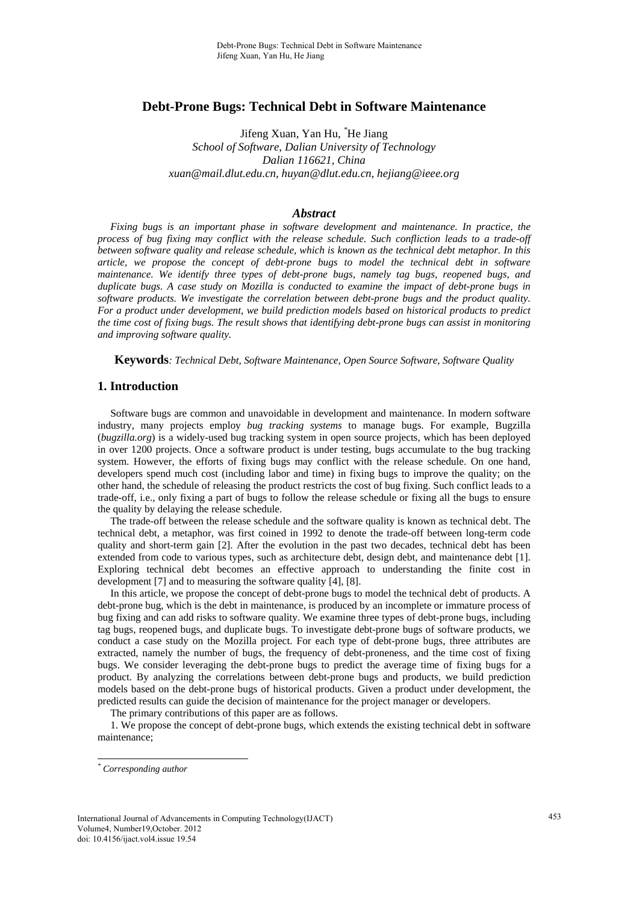# **Debt-Prone Bugs: Technical Debt in Software Maintenance**

Jifeng Xuan, Yan Hu, *\** He Jiang *School of Software, Dalian University of Technology Dalian 116621, China xuan@mail.dlut.edu.cn, huyan@dlut.edu.cn, hejiang@ieee.org* 

#### *Abstract*

*Fixing bugs is an important phase in software development and maintenance. In practice, the process of bug fixing may conflict with the release schedule. Such confliction leads to a trade-off between software quality and release schedule, which is known as the technical debt metaphor. In this article, we propose the concept of debt-prone bugs to model the technical debt in software maintenance. We identify three types of debt-prone bugs, namely tag bugs, reopened bugs, and duplicate bugs. A case study on Mozilla is conducted to examine the impact of debt-prone bugs in software products. We investigate the correlation between debt-prone bugs and the product quality. For a product under development, we build prediction models based on historical products to predict the time cost of fixing bugs. The result shows that identifying debt-prone bugs can assist in monitoring and improving software quality.* 

**Keywords***: Technical Debt, Software Maintenance, Open Source Software, Software Quality* 

# **1. Introduction**

Software bugs are common and unavoidable in development and maintenance. In modern software industry, many projects employ *bug tracking systems* to manage bugs. For example, Bugzilla (*bugzilla.org*) is a widely-used bug tracking system in open source projects, which has been deployed in over 1200 projects. Once a software product is under testing, bugs accumulate to the bug tracking system. However, the efforts of fixing bugs may conflict with the release schedule. On one hand, developers spend much cost (including labor and time) in fixing bugs to improve the quality; on the other hand, the schedule of releasing the product restricts the cost of bug fixing. Such conflict leads to a trade-off, i.e., only fixing a part of bugs to follow the release schedule or fixing all the bugs to ensure the quality by delaying the release schedule.

The trade-off between the release schedule and the software quality is known as technical debt. The technical debt, a metaphor, was first coined in 1992 to denote the trade-off between long-term code quality and short-term gain [2]. After the evolution in the past two decades, technical debt has been extended from code to various types, such as architecture debt, design debt, and maintenance debt [1]. Exploring technical debt becomes an effective approach to understanding the finite cost in development [7] and to measuring the software quality [4], [8].

In this article, we propose the concept of debt-prone bugs to model the technical debt of products. A debt-prone bug, which is the debt in maintenance, is produced by an incomplete or immature process of bug fixing and can add risks to software quality. We examine three types of debt-prone bugs, including tag bugs, reopened bugs, and duplicate bugs. To investigate debt-prone bugs of software products, we conduct a case study on the Mozilla project. For each type of debt-prone bugs, three attributes are extracted, namely the number of bugs, the frequency of debt-proneness, and the time cost of fixing bugs. We consider leveraging the debt-prone bugs to predict the average time of fixing bugs for a product. By analyzing the correlations between debt-prone bugs and products, we build prediction models based on the debt-prone bugs of historical products. Given a product under development, the predicted results can guide the decision of maintenance for the project manager or developers.

The primary contributions of this paper are as follows.

1. We propose the concept of debt-prone bugs, which extends the existing technical debt in software maintenance;

l

*<sup>\*</sup> Corresponding author*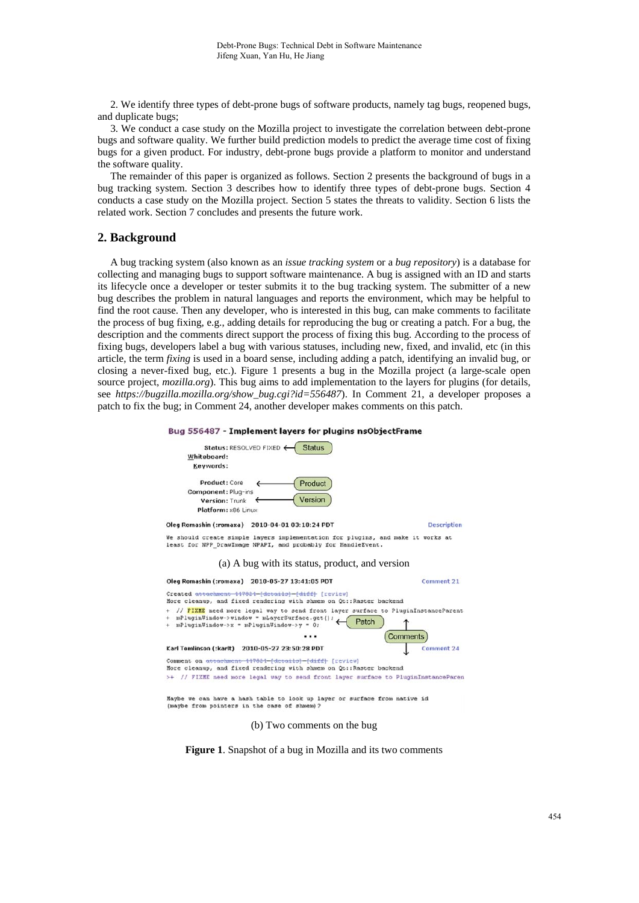2. We identify three types of debt-prone bugs of software products, namely tag bugs, reopened bugs, and duplicate bugs;

3. We conduct a case study on the Mozilla project to investigate the correlation between debt-prone bugs and software quality. We further build prediction models to predict the average time cost of fixing bugs for a given product. For industry, debt-prone bugs provide a platform to monitor and understand the software quality.

The remainder of this paper is organized as follows. Section 2 presents the background of bugs in a bug tracking system. Section 3 describes how to identify three types of debt-prone bugs. Section 4 conducts a case study on the Mozilla project. Section 5 states the threats to validity. Section 6 lists the related work. Section 7 concludes and presents the future work.

# **2. Background**

A bug tracking system (also known as an *issue tracking system* or a *bug repository*) is a database for collecting and managing bugs to support software maintenance. A bug is assigned with an ID and starts its lifecycle once a developer or tester submits it to the bug tracking system. The submitter of a new bug describes the problem in natural languages and reports the environment, which may be helpful to find the root cause. Then any developer, who is interested in this bug, can make comments to facilitate the process of bug fixing, e.g., adding details for reproducing the bug or creating a patch. For a bug, the description and the comments direct support the process of fixing this bug. According to the process of fixing bugs, developers label a bug with various statuses, including new, fixed, and invalid, etc (in this article, the term *fixing* is used in a board sense, including adding a patch, identifying an invalid bug, or closing a never-fixed bug, etc.). Figure 1 presents a bug in the Mozilla project (a large-scale open source project, *mozilla.org*). This bug aims to add implementation to the layers for plugins (for details, see *https://bugzilla.mozilla.org/show\_bug.cgi?id=556487*). In Comment 21, a developer proposes a patch to fix the bug; in Comment 24, another developer makes comments on this patch.





**Figure 1**. Snapshot of a bug in Mozilla and its two comments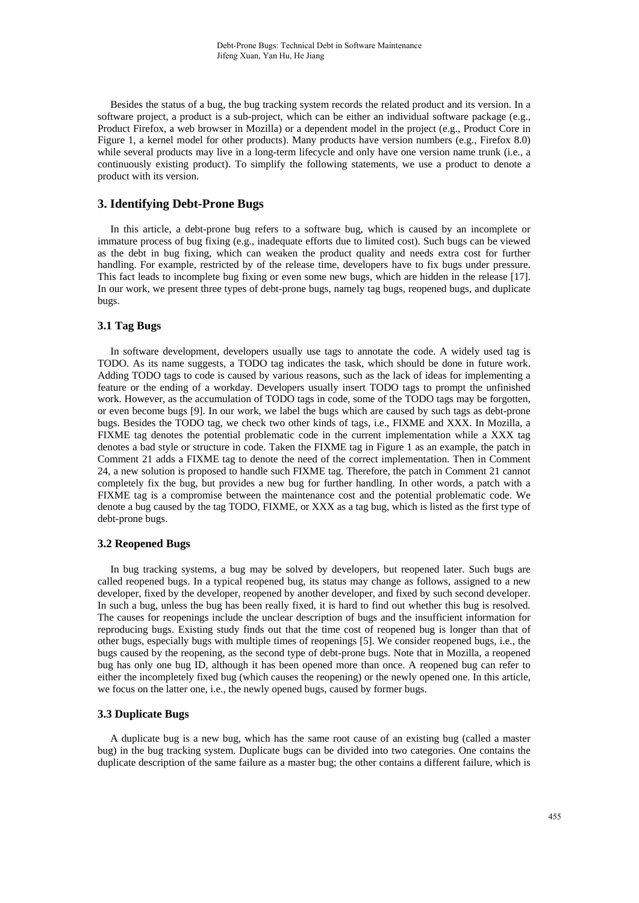Besides the status of a bug, the bug tracking system records the related product and its version. In a software project, a product is a sub-project, which can be either an individual software package (e.g., Product Firefox, a web browser in Mozilla) or a dependent model in the project (e.g., Product Core in Figure 1, a kernel model for other products). Many products have version numbers (e.g., Firefox 8.0) while several products may live in a long-term lifecycle and only have one version name trunk (i.e., a continuously existing product). To simplify the following statements, we use a product to denote a product with its version.

# **3. Identifying Debt-Prone Bugs**

In this article, a debt-prone bug refers to a software bug, which is caused by an incomplete or immature process of bug fixing (e.g., inadequate efforts due to limited cost). Such bugs can be viewed as the debt in bug fixing, which can weaken the product quality and needs extra cost for further handling. For example, restricted by of the release time, developers have to fix bugs under pressure. This fact leads to incomplete bug fixing or even some new bugs, which are hidden in the release [17]. In our work, we present three types of debt-prone bugs, namely tag bugs, reopened bugs, and duplicate bugs.

# **3.1 Tag Bugs**

In software development, developers usually use tags to annotate the code. A widely used tag is TODO. As its name suggests, a TODO tag indicates the task, which should be done in future work. Adding TODO tags to code is caused by various reasons, such as the lack of ideas for implementing a feature or the ending of a workday. Developers usually insert TODO tags to prompt the unfinished work. However, as the accumulation of TODO tags in code, some of the TODO tags may be forgotten, or even become bugs [9]. In our work, we label the bugs which are caused by such tags as debt-prone bugs. Besides the TODO tag, we check two other kinds of tags, i.e., FIXME and XXX. In Mozilla, a FIXME tag denotes the potential problematic code in the current implementation while a XXX tag denotes a bad style or structure in code. Taken the FIXME tag in Figure 1 as an example, the patch in Comment 21 adds a FIXME tag to denote the need of the correct implementation. Then in Comment 24, a new solution is proposed to handle such FIXME tag. Therefore, the patch in Comment 21 cannot completely fix the bug, but provides a new bug for further handling. In other words, a patch with a FIXME tag is a compromise between the maintenance cost and the potential problematic code. We denote a bug caused by the tag TODO, FIXME, or XXX as a tag bug, which is listed as the first type of debt-prone bugs.

#### **3.2 Reopened Bugs**

In bug tracking systems, a bug may be solved by developers, but reopened later. Such bugs are called reopened bugs. In a typical reopened bug, its status may change as follows, assigned to a new developer, fixed by the developer, reopened by another developer, and fixed by such second developer. In such a bug, unless the bug has been really fixed, it is hard to find out whether this bug is resolved. The causes for reopenings include the unclear description of bugs and the insufficient information for reproducing bugs. Existing study finds out that the time cost of reopened bug is longer than that of other bugs, especially bugs with multiple times of reopenings [5]. We consider reopened bugs, i.e., the bugs caused by the reopening, as the second type of debt-prone bugs. Note that in Mozilla, a reopened bug has only one bug ID, although it has been opened more than once. A reopened bug can refer to either the incompletely fixed bug (which causes the reopening) or the newly opened one. In this article, we focus on the latter one, i.e., the newly opened bugs, caused by former bugs.

#### **3.3 Duplicate Bugs**

A duplicate bug is a new bug, which has the same root cause of an existing bug (called a master bug) in the bug tracking system. Duplicate bugs can be divided into two categories. One contains the duplicate description of the same failure as a master bug; the other contains a different failure, which is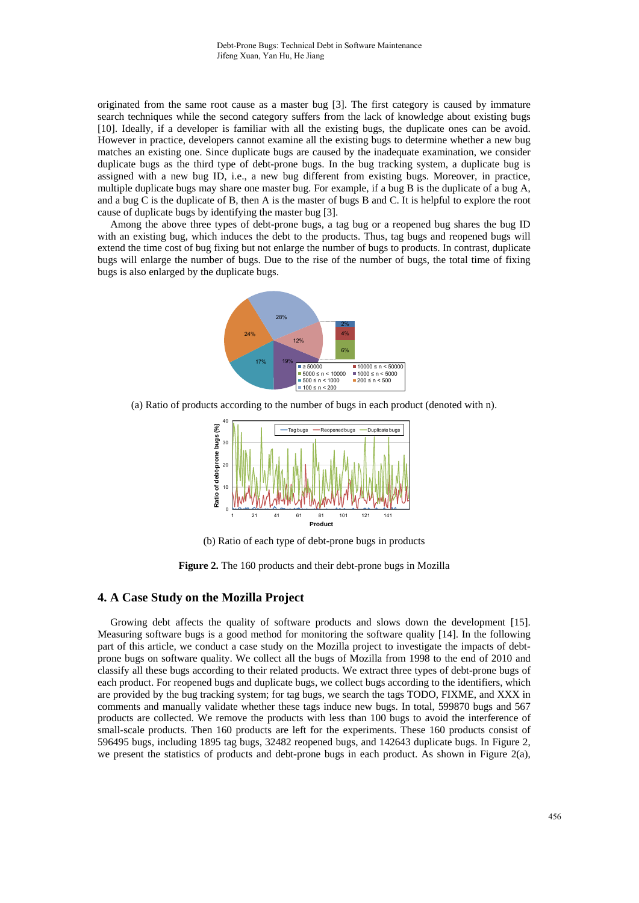originated from the same root cause as a master bug [3]. The first category is caused by immature search techniques while the second category suffers from the lack of knowledge about existing bugs [10]. Ideally, if a developer is familiar with all the existing bugs, the duplicate ones can be avoid. However in practice, developers cannot examine all the existing bugs to determine whether a new bug matches an existing one. Since duplicate bugs are caused by the inadequate examination, we consider duplicate bugs as the third type of debt-prone bugs. In the bug tracking system, a duplicate bug is assigned with a new bug ID, i.e., a new bug different from existing bugs. Moreover, in practice, multiple duplicate bugs may share one master bug. For example, if a bug B is the duplicate of a bug A, and a bug C is the duplicate of B, then A is the master of bugs B and C. It is helpful to explore the root cause of duplicate bugs by identifying the master bug [3].

Among the above three types of debt-prone bugs, a tag bug or a reopened bug shares the bug ID with an existing bug, which induces the debt to the products. Thus, tag bugs and reopened bugs will extend the time cost of bug fixing but not enlarge the number of bugs to products. In contrast, duplicate bugs will enlarge the number of bugs. Due to the rise of the number of bugs, the total time of fixing bugs is also enlarged by the duplicate bugs.



(a) Ratio of products according to the number of bugs in each product (denoted with n).



(b) Ratio of each type of debt-prone bugs in products

**Figure 2.** The 160 products and their debt-prone bugs in Mozilla

# **4. A Case Study on the Mozilla Project**

Growing debt affects the quality of software products and slows down the development [15]. Measuring software bugs is a good method for monitoring the software quality [14]. In the following part of this article, we conduct a case study on the Mozilla project to investigate the impacts of debtprone bugs on software quality. We collect all the bugs of Mozilla from 1998 to the end of 2010 and classify all these bugs according to their related products. We extract three types of debt-prone bugs of each product. For reopened bugs and duplicate bugs, we collect bugs according to the identifiers, which are provided by the bug tracking system; for tag bugs, we search the tags TODO, FIXME, and XXX in comments and manually validate whether these tags induce new bugs. In total, 599870 bugs and 567 products are collected. We remove the products with less than 100 bugs to avoid the interference of small-scale products. Then 160 products are left for the experiments. These 160 products consist of 596495 bugs, including 1895 tag bugs, 32482 reopened bugs, and 142643 duplicate bugs. In Figure 2, we present the statistics of products and debt-prone bugs in each product. As shown in Figure  $2(a)$ ,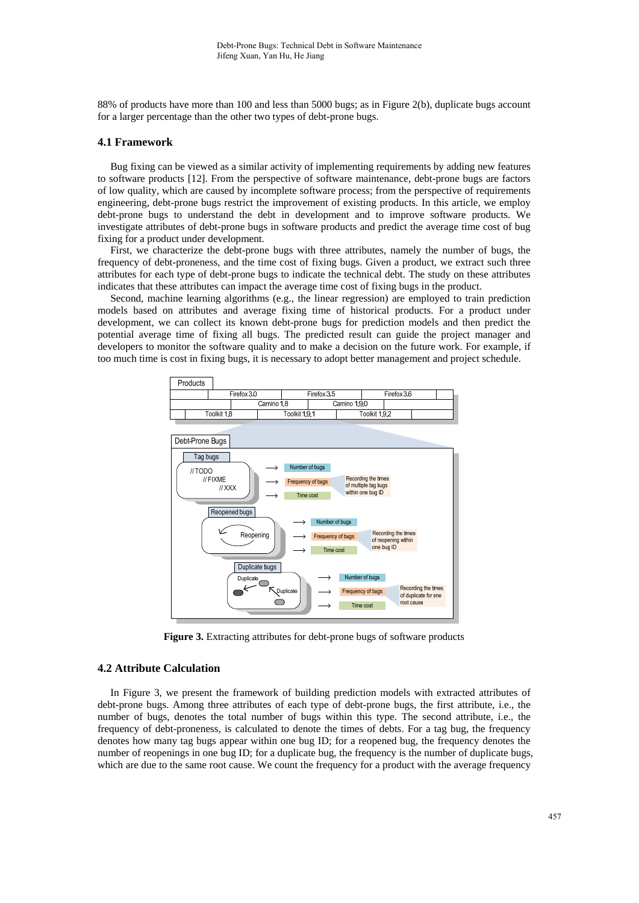88% of products have more than 100 and less than 5000 bugs; as in Figure 2(b), duplicate bugs account for a larger percentage than the other two types of debt-prone bugs.

### **4.1 Framework**

Bug fixing can be viewed as a similar activity of implementing requirements by adding new features to software products [12]. From the perspective of software maintenance, debt-prone bugs are factors of low quality, which are caused by incomplete software process; from the perspective of requirements engineering, debt-prone bugs restrict the improvement of existing products. In this article, we employ debt-prone bugs to understand the debt in development and to improve software products. We investigate attributes of debt-prone bugs in software products and predict the average time cost of bug fixing for a product under development.

First, we characterize the debt-prone bugs with three attributes, namely the number of bugs, the frequency of debt-proneness, and the time cost of fixing bugs. Given a product, we extract such three attributes for each type of debt-prone bugs to indicate the technical debt. The study on these attributes indicates that these attributes can impact the average time cost of fixing bugs in the product.

Second, machine learning algorithms (e.g., the linear regression) are employed to train prediction models based on attributes and average fixing time of historical products. For a product under development, we can collect its known debt-prone bugs for prediction models and then predict the potential average time of fixing all bugs. The predicted result can guide the project manager and developers to monitor the software quality and to make a decision on the future work. For example, if too much time is cost in fixing bugs, it is necessary to adopt better management and project schedule.





**Figure 3.** Extracting attributes for debt-prone bugs of software products

## **4.2 Attribute Calculation**

In Figure 3, we present the framework of building prediction models with extracted attributes of debt-prone bugs. Among three attributes of each type of debt-prone bugs, the first attribute, i.e., the number of bugs, denotes the total number of bugs within this type. The second attribute, i.e., the frequency of debt-proneness, is calculated to denote the times of debts. For a tag bug, the frequency denotes how many tag bugs appear within one bug ID; for a reopened bug, the frequency denotes the number of reopenings in one bug ID; for a duplicate bug, the frequency is the number of duplicate bugs, which are due to the same root cause. We count the frequency for a product with the average frequency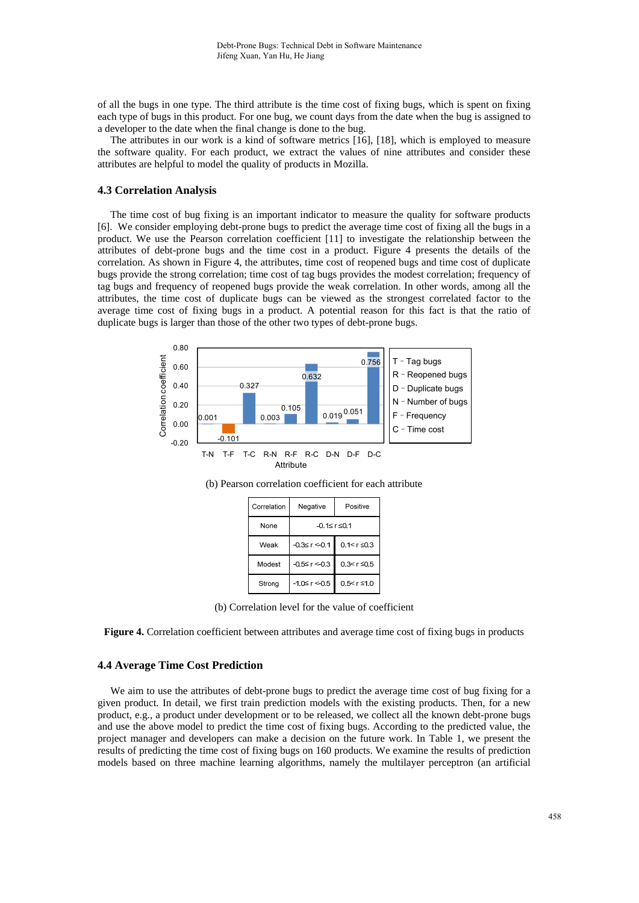of all the bugs in one type. The third attribute is the time cost of fixing bugs, which is spent on fixing each type of bugs in this product. For one bug, we count days from the date when the bug is assigned to a developer to the date when the final change is done to the bug.

The attributes in our work is a kind of software metrics [16], [18], which is employed to measure the software quality. For each product, we extract the values of nine attributes and consider these attributes are helpful to model the quality of products in Mozilla.

#### **4.3 Correlation Analysis**

The time cost of bug fixing is an important indicator to measure the quality for software products [6]. We consider employing debt-prone bugs to predict the average time cost of fixing all the bugs in a product. We use the Pearson correlation coefficient [11] to investigate the relationship between the attributes of debt-prone bugs and the time cost in a product. Figure 4 presents the details of the correlation. As shown in Figure 4, the attributes, time cost of reopened bugs and time cost of duplicate bugs provide the strong correlation; time cost of tag bugs provides the modest correlation; frequency of tag bugs and frequency of reopened bugs provide the weak correlation. In other words, among all the attributes, the time cost of duplicate bugs can be viewed as the strongest correlated factor to the average time cost of fixing bugs in a product. A potential reason for this fact is that the ratio of duplicate bugs is larger than those of the other two types of debt-prone bugs.



Attribute

| Correlation | Negative             | Positive           |
|-------------|----------------------|--------------------|
| None        | -0.1≤r≤0.1           |                    |
| Weak        | $-0.3 \le r \le 0.1$ | $0.1 < r \leq 0.3$ |
| Modest      | $-0.5 \le r < 0.3$   | $0.3 < r \leq 0.5$ |
| Strong      | $-1.0 \le r < 0.5$   | $0.5 < r \leq 1.0$ |

(b) Pearson correlation coefficient for each attribute

(b) Correlation level for the value of coefficient

**Figure 4.** Correlation coefficient between attributes and average time cost of fixing bugs in products

### **4.4 Average Time Cost Prediction**

We aim to use the attributes of debt-prone bugs to predict the average time cost of bug fixing for a given product. In detail, we first train prediction models with the existing products. Then, for a new product, e.g., a product under development or to be released, we collect all the known debt-prone bugs and use the above model to predict the time cost of fixing bugs. According to the predicted value, the project manager and developers can make a decision on the future work. In Table 1, we present the results of predicting the time cost of fixing bugs on 160 products. We examine the results of prediction models based on three machine learning algorithms, namely the multilayer perceptron (an artificial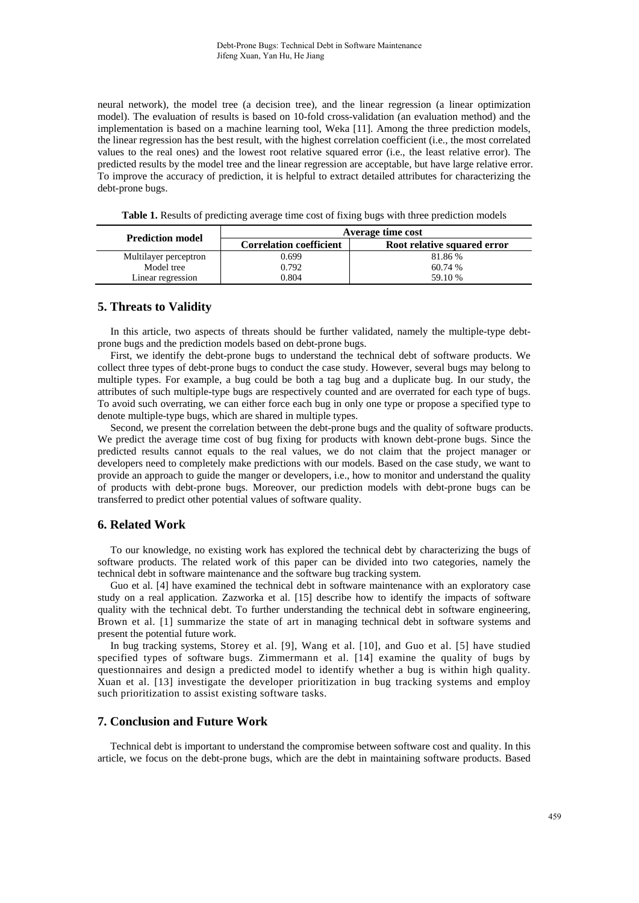neural network), the model tree (a decision tree), and the linear regression (a linear optimization model). The evaluation of results is based on 10-fold cross-validation (an evaluation method) and the implementation is based on a machine learning tool, Weka [11]. Among the three prediction models, the linear regression has the best result, with the highest correlation coefficient (i.e., the most correlated values to the real ones) and the lowest root relative squared error (i.e., the least relative error). The predicted results by the model tree and the linear regression are acceptable, but have large relative error. To improve the accuracy of prediction, it is helpful to extract detailed attributes for characterizing the debt-prone bugs.

**Table 1.** Results of predicting average time cost of fixing bugs with three prediction models

| <b>Prediction model</b> | Average time cost              |                             |
|-------------------------|--------------------------------|-----------------------------|
|                         | <b>Correlation coefficient</b> | Root relative squared error |
| Multilayer perceptron   | 0.699                          | 81.86 %                     |
| Model tree              | 0.792                          | 60.74 %                     |
| Linear regression       | 0.804                          | 59.10 %                     |

# **5. Threats to Validity**

In this article, two aspects of threats should be further validated, namely the multiple-type debtprone bugs and the prediction models based on debt-prone bugs.

First, we identify the debt-prone bugs to understand the technical debt of software products. We collect three types of debt-prone bugs to conduct the case study. However, several bugs may belong to multiple types. For example, a bug could be both a tag bug and a duplicate bug. In our study, the attributes of such multiple-type bugs are respectively counted and are overrated for each type of bugs. To avoid such overrating, we can either force each bug in only one type or propose a specified type to denote multiple-type bugs, which are shared in multiple types.

Second, we present the correlation between the debt-prone bugs and the quality of software products. We predict the average time cost of bug fixing for products with known debt-prone bugs. Since the predicted results cannot equals to the real values, we do not claim that the project manager or developers need to completely make predictions with our models. Based on the case study, we want to provide an approach to guide the manger or developers, i.e., how to monitor and understand the quality of products with debt-prone bugs. Moreover, our prediction models with debt-prone bugs can be transferred to predict other potential values of software quality.

## **6. Related Work**

To our knowledge, no existing work has explored the technical debt by characterizing the bugs of software products. The related work of this paper can be divided into two categories, namely the technical debt in software maintenance and the software bug tracking system.

Guo et al. [4] have examined the technical debt in software maintenance with an exploratory case study on a real application. Zazworka et al. [15] describe how to identify the impacts of software quality with the technical debt. To further understanding the technical debt in software engineering, Brown et al. [1] summarize the state of art in managing technical debt in software systems and present the potential future work.

In bug tracking systems, Storey et al. [9], Wang et al. [10], and Guo et al. [5] have studied specified types of software bugs. Zimmermann et al. [14] examine the quality of bugs by questionnaires and design a predicted model to identify whether a bug is within high quality. Xuan et al. [13] investigate the developer prioritization in bug tracking systems and employ such prioritization to assist existing software tasks.

## **7. Conclusion and Future Work**

Technical debt is important to understand the compromise between software cost and quality. In this article, we focus on the debt-prone bugs, which are the debt in maintaining software products. Based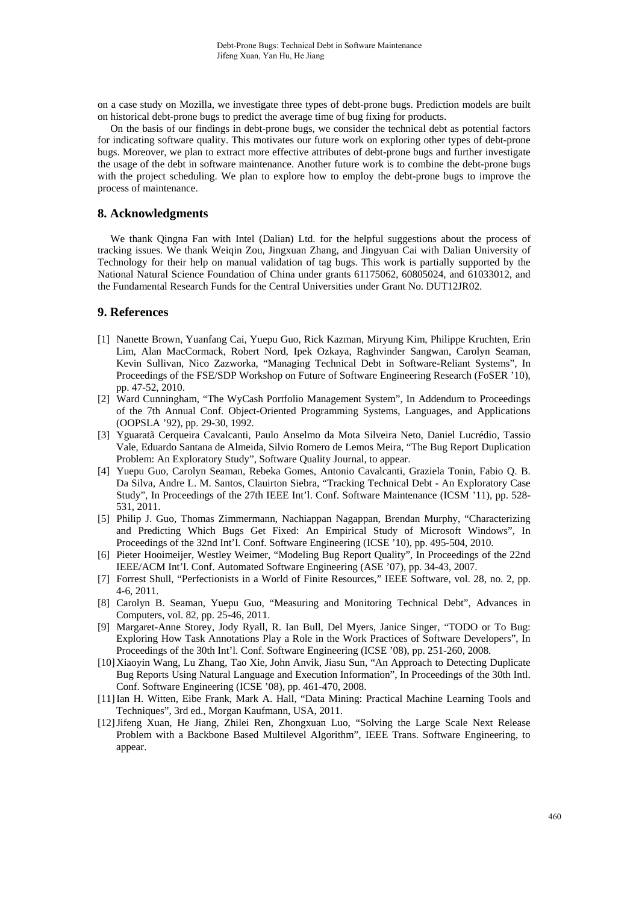on a case study on Mozilla, we investigate three types of debt-prone bugs. Prediction models are built on historical debt-prone bugs to predict the average time of bug fixing for products.

On the basis of our findings in debt-prone bugs, we consider the technical debt as potential factors for indicating software quality. This motivates our future work on exploring other types of debt-prone bugs. Moreover, we plan to extract more effective attributes of debt-prone bugs and further investigate the usage of the debt in software maintenance. Another future work is to combine the debt-prone bugs with the project scheduling. We plan to explore how to employ the debt-prone bugs to improve the process of maintenance.

## **8. Acknowledgments**

We thank Qingna Fan with Intel (Dalian) Ltd. for the helpful suggestions about the process of tracking issues. We thank Weiqin Zou, Jingxuan Zhang, and Jingyuan Cai with Dalian University of Technology for their help on manual validation of tag bugs. This work is partially supported by the National Natural Science Foundation of China under grants 61175062, 60805024, and 61033012, and the Fundamental Research Funds for the Central Universities under Grant No. DUT12JR02.

# **9. References**

- [1] Nanette Brown, Yuanfang Cai, Yuepu Guo, Rick Kazman, Miryung Kim, Philippe Kruchten, Erin Lim, Alan MacCormack, Robert Nord, Ipek Ozkaya, Raghvinder Sangwan, Carolyn Seaman, Kevin Sullivan, Nico Zazworka, "Managing Technical Debt in Software-Reliant Systems", In Proceedings of the FSE/SDP Workshop on Future of Software Engineering Research (FoSER '10), pp. 47-52, 2010.
- [2] Ward Cunningham, "The WyCash Portfolio Management System", In Addendum to Proceedings of the 7th Annual Conf. Object-Oriented Programming Systems, Languages, and Applications (OOPSLA '92), pp. 29-30, 1992.
- [3] Yguaratã Cerqueira Cavalcanti, Paulo Anselmo da Mota Silveira Neto, Daniel Lucrédio, Tassio Vale, Eduardo Santana de Almeida, Silvio Romero de Lemos Meira, "The Bug Report Duplication Problem: An Exploratory Study", Software Quality Journal, to appear.
- [4] Yuepu Guo, Carolyn Seaman, Rebeka Gomes, Antonio Cavalcanti, Graziela Tonin, Fabio Q. B. Da Silva, Andre L. M. Santos, Clauirton Siebra, "Tracking Technical Debt - An Exploratory Case Study", In Proceedings of the 27th IEEE Int'l. Conf. Software Maintenance (ICSM '11), pp. 528- 531, 2011.
- [5] Philip J. Guo, Thomas Zimmermann, Nachiappan Nagappan, Brendan Murphy, "Characterizing and Predicting Which Bugs Get Fixed: An Empirical Study of Microsoft Windows", In Proceedings of the 32nd Int'l. Conf. Software Engineering (ICSE '10), pp. 495-504, 2010.
- [6] Pieter Hooimeijer, Westley Weimer, "Modeling Bug Report Quality", In Proceedings of the 22nd IEEE/ACM Int'l. Conf. Automated Software Engineering (ASE '07), pp. 34-43, 2007.
- [7] Forrest Shull, "Perfectionists in a World of Finite Resources," IEEE Software, vol. 28, no. 2, pp. 4-6, 2011.
- [8] Carolyn B. Seaman, Yuepu Guo, "Measuring and Monitoring Technical Debt", Advances in Computers, vol. 82, pp. 25-46, 2011.
- [9] Margaret-Anne Storey, Jody Ryall, R. Ian Bull, Del Myers, Janice Singer, "TODO or To Bug: Exploring How Task Annotations Play a Role in the Work Practices of Software Developers", In Proceedings of the 30th Int'l. Conf. Software Engineering (ICSE '08), pp. 251-260, 2008.
- [10]Xiaoyin Wang, Lu Zhang, Tao Xie, John Anvik, Jiasu Sun, "An Approach to Detecting Duplicate Bug Reports Using Natural Language and Execution Information", In Proceedings of the 30th Intl. Conf. Software Engineering (ICSE '08), pp. 461-470, 2008.
- [11]Ian H. Witten, Eibe Frank, Mark A. Hall, "Data Mining: Practical Machine Learning Tools and Techniques", 3rd ed., Morgan Kaufmann, USA, 2011.
- [12]Jifeng Xuan, He Jiang, Zhilei Ren, Zhongxuan Luo, "Solving the Large Scale Next Release Problem with a Backbone Based Multilevel Algorithm", IEEE Trans. Software Engineering, to appear.